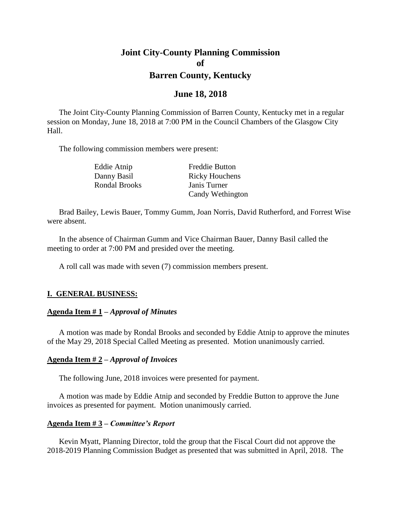# **Joint City-County Planning Commission of Barren County, Kentucky**

### **June 18, 2018**

The Joint City-County Planning Commission of Barren County, Kentucky met in a regular session on Monday, June 18, 2018 at 7:00 PM in the Council Chambers of the Glasgow City Hall.

The following commission members were present:

Rondal Brooks Janis Turner

Eddie Atnip Freddie Button Danny Basil Ricky Houchens Candy Wethington

Brad Bailey, Lewis Bauer, Tommy Gumm, Joan Norris, David Rutherford, and Forrest Wise were absent.

In the absence of Chairman Gumm and Vice Chairman Bauer, Danny Basil called the meeting to order at 7:00 PM and presided over the meeting.

A roll call was made with seven (7) commission members present.

### **I. GENERAL BUSINESS:**

#### **Agenda Item # 1 –** *Approval of Minutes*

A motion was made by Rondal Brooks and seconded by Eddie Atnip to approve the minutes of the May 29, 2018 Special Called Meeting as presented. Motion unanimously carried.

#### **Agenda Item # 2 –** *Approval of Invoices*

The following June, 2018 invoices were presented for payment.

A motion was made by Eddie Atnip and seconded by Freddie Button to approve the June invoices as presented for payment. Motion unanimously carried.

#### **Agenda Item # 3 –** *Committee's Report*

Kevin Myatt, Planning Director, told the group that the Fiscal Court did not approve the 2018-2019 Planning Commission Budget as presented that was submitted in April, 2018. The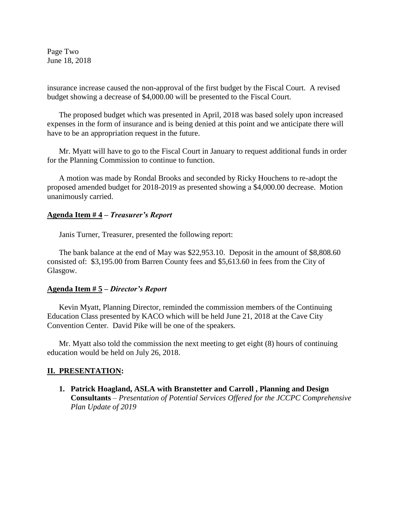Page Two June 18, 2018

insurance increase caused the non-approval of the first budget by the Fiscal Court. A revised budget showing a decrease of \$4,000.00 will be presented to the Fiscal Court.

The proposed budget which was presented in April, 2018 was based solely upon increased expenses in the form of insurance and is being denied at this point and we anticipate there will have to be an appropriation request in the future.

Mr. Myatt will have to go to the Fiscal Court in January to request additional funds in order for the Planning Commission to continue to function.

A motion was made by Rondal Brooks and seconded by Ricky Houchens to re-adopt the proposed amended budget for 2018-2019 as presented showing a \$4,000.00 decrease. Motion unanimously carried.

#### **Agenda Item # 4 –** *Treasurer's Report*

Janis Turner, Treasurer, presented the following report:

The bank balance at the end of May was \$22,953.10. Deposit in the amount of \$8,808.60 consisted of: \$3,195.00 from Barren County fees and \$5,613.60 in fees from the City of Glasgow.

#### **Agenda Item # 5 –** *Director's Report*

Kevin Myatt, Planning Director, reminded the commission members of the Continuing Education Class presented by KACO which will be held June 21, 2018 at the Cave City Convention Center. David Pike will be one of the speakers.

Mr. Myatt also told the commission the next meeting to get eight (8) hours of continuing education would be held on July 26, 2018.

#### **II. PRESENTATION:**

**1. Patrick Hoagland, ASLA with Branstetter and Carroll , Planning and Design Consultants** *– Presentation of Potential Services Offered for the JCCPC Comprehensive Plan Update of 2019*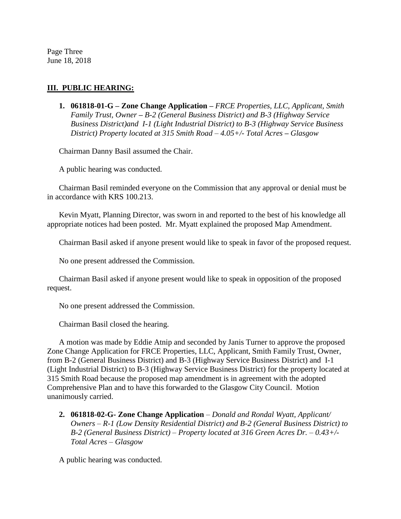Page Three June 18, 2018

### **III. PUBLIC HEARING:**

**1. 061818-01-G – Zone Change Application** *– FRCE Properties, LLC, Applicant, Smith Family Trust, Owner – B-2 (General Business District) and B-3 (Highway Service Business District)and I-1 (Light Industrial District) to B-3 (Highway Service Business District) Property located at 315 Smith Road – 4.05+/- Total Acres – Glasgow*

Chairman Danny Basil assumed the Chair.

A public hearing was conducted.

Chairman Basil reminded everyone on the Commission that any approval or denial must be in accordance with KRS 100.213.

Kevin Myatt, Planning Director, was sworn in and reported to the best of his knowledge all appropriate notices had been posted. Mr. Myatt explained the proposed Map Amendment.

Chairman Basil asked if anyone present would like to speak in favor of the proposed request.

No one present addressed the Commission.

Chairman Basil asked if anyone present would like to speak in opposition of the proposed request.

No one present addressed the Commission.

Chairman Basil closed the hearing.

A motion was made by Eddie Atnip and seconded by Janis Turner to approve the proposed Zone Change Application for FRCE Properties, LLC, Applicant, Smith Family Trust, Owner, from B-2 (General Business District) and B-3 (Highway Service Business District) and I-1 (Light Industrial District) to B-3 (Highway Service Business District) for the property located at 315 Smith Road because the proposed map amendment is in agreement with the adopted Comprehensive Plan and to have this forwarded to the Glasgow City Council. Motion unanimously carried.

**2. 061818-02-G- Zone Change Application** *– Donald and Rondal Wyatt, Applicant/ Owners – R-1 (Low Density Residential District) and B-2 (General Business District) to B-2 (General Business District) – Property located at 316 Green Acres Dr. – 0.43+/- Total Acres – Glasgow*

A public hearing was conducted.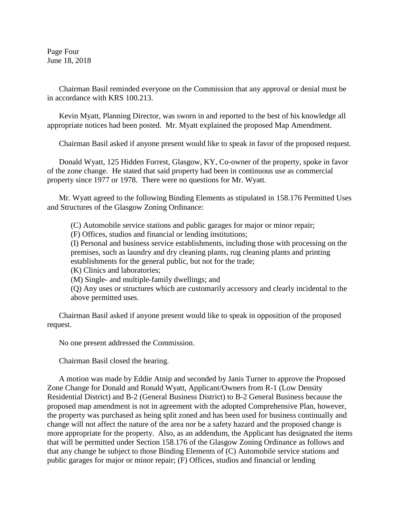Page Four June 18, 2018

Chairman Basil reminded everyone on the Commission that any approval or denial must be in accordance with KRS 100.213.

Kevin Myatt, Planning Director, was sworn in and reported to the best of his knowledge all appropriate notices had been posted. Mr. Myatt explained the proposed Map Amendment.

Chairman Basil asked if anyone present would like to speak in favor of the proposed request.

Donald Wyatt, 125 Hidden Forrest, Glasgow, KY, Co-owner of the property, spoke in favor of the zone change. He stated that said property had been in continuous use as commercial property since 1977 or 1978. There were no questions for Mr. Wyatt.

Mr. Wyatt agreed to the following Binding Elements as stipulated in 158.176 Permitted Uses and Structures of the Glasgow Zoning Ordinance:

(C) Automobile service stations and public garages for major or minor repair;

(F) Offices, studios and financial or lending institutions;

(I) Personal and business service establishments, including those with processing on the premises, such as laundry and dry cleaning plants, rug cleaning plants and printing establishments for the general public, but not for the trade;

(K) Clinics and laboratories;

(M) Single- and multiple-family dwellings; and

(Q) Any uses or structures which are customarily accessory and clearly incidental to the above permitted uses.

Chairman Basil asked if anyone present would like to speak in opposition of the proposed request.

No one present addressed the Commission.

Chairman Basil closed the hearing.

A motion was made by Eddie Atnip and seconded by Janis Turner to approve the Proposed Zone Change for Donald and Ronald Wyatt, Applicant/Owners from R-1 (Low Density Residential District) and B-2 (General Business District) to B-2 General Business because the proposed map amendment is not in agreement with the adopted Comprehensive Plan, however, the property was purchased as being split zoned and has been used for business continually and change will not affect the nature of the area nor be a safety hazard and the proposed change is more appropriate for the property. Also, as an addendum, the Applicant has designated the items that will be permitted under Section 158.176 of the Glasgow Zoning Ordinance as follows and that any change be subject to those Binding Elements of (C) Automobile service stations and public garages for major or minor repair; (F) Offices, studios and financial or lending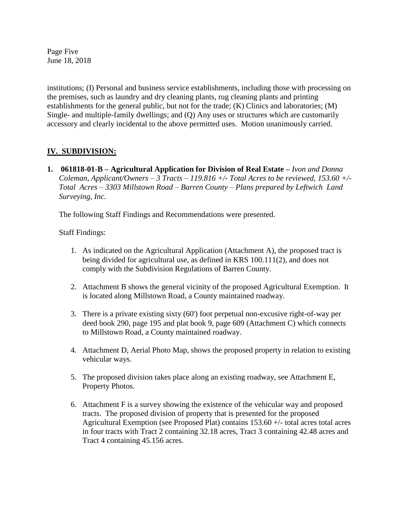Page Five June 18, 2018

institutions; (I) Personal and business service establishments, including those with processing on the premises, such as laundry and dry cleaning plants, rug cleaning plants and printing establishments for the general public, but not for the trade; (K) Clinics and laboratories; (M) Single- and multiple-family dwellings; and (Q) Any uses or structures which are customarily accessory and clearly incidental to the above permitted uses. Motion unanimously carried.

## **IV. SUBDIVISION:**

**1.** 061818-01-B – Agricultural Application for Division of Real Estate – *Ivon and Donna Coleman, Applicant/Owners – 3 Tracts – 119.816 +/- Total Acres to be reviewed, 153.60 +/- Total Acres – 3303 Millstown Road – Barren County – Plans prepared by Leftwich Land Surveying, Inc.*

The following Staff Findings and Recommendations were presented.

Staff Findings:

- 1. As indicated on the Agricultural Application (Attachment A), the proposed tract is being divided for agricultural use, as defined in KRS 100.111(2), and does not comply with the Subdivision Regulations of Barren County.
- 2. Attachment B shows the general vicinity of the proposed Agricultural Exemption. It is located along Millstown Road, a County maintained roadway.
- 3. There is a private existing sixty (60') foot perpetual non-excusive right-of-way per deed book 290, page 195 and plat book 9, page 609 (Attachment C) which connects to Millstown Road, a County maintained roadway.
- 4. Attachment D, Aerial Photo Map, shows the proposed property in relation to existing vehicular ways.
- 5. The proposed division takes place along an existing roadway, see Attachment E, Property Photos.
- 6. Attachment F is a survey showing the existence of the vehicular way and proposed tracts. The proposed division of property that is presented for the proposed Agricultural Exemption (see Proposed Plat) contains 153.60 +/- total acres total acres in four tracts with Tract 2 containing 32.18 acres, Tract 3 containing 42.48 acres and Tract 4 containing 45.156 acres.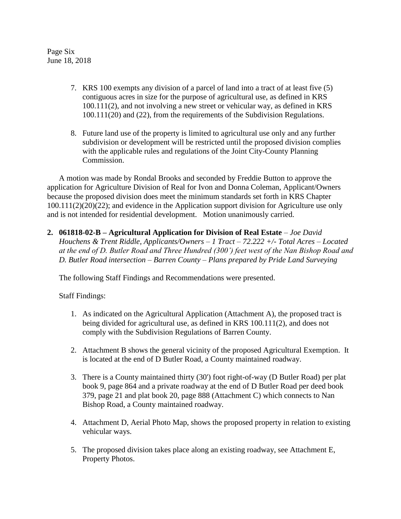Page Six June 18, 2018

- 7. KRS 100 exempts any division of a parcel of land into a tract of at least five (5) contiguous acres in size for the purpose of agricultural use, as defined in KRS 100.111(2), and not involving a new street or vehicular way, as defined in KRS 100.111(20) and (22), from the requirements of the Subdivision Regulations.
- 8. Future land use of the property is limited to agricultural use only and any further subdivision or development will be restricted until the proposed division complies with the applicable rules and regulations of the Joint City-County Planning Commission.

A motion was made by Rondal Brooks and seconded by Freddie Button to approve the application for Agriculture Division of Real for Ivon and Donna Coleman, Applicant/Owners because the proposed division does meet the minimum standards set forth in KRS Chapter 100.111(2)(20)(22); and evidence in the Application support division for Agriculture use only and is not intended for residential development. Motion unanimously carried.

**2. 061818-02-B – Agricultural Application for Division of Real Estate** *– Joe David Houchens & Trent Riddle, Applicants/Owners – 1 Tract – 72.222 +/- Total Acres – Located at the end of D. Butler Road and Three Hundred (300') feet west of the Nan Bishop Road and D. Butler Road intersection – Barren County – Plans prepared by Pride Land Surveying*

The following Staff Findings and Recommendations were presented.

Staff Findings:

- 1. As indicated on the Agricultural Application (Attachment A), the proposed tract is being divided for agricultural use, as defined in KRS 100.111(2), and does not comply with the Subdivision Regulations of Barren County.
- 2. Attachment B shows the general vicinity of the proposed Agricultural Exemption. It is located at the end of D Butler Road, a County maintained roadway.
- 3. There is a County maintained thirty (30') foot right-of-way (D Butler Road) per plat book 9, page 864 and a private roadway at the end of D Butler Road per deed book 379, page 21 and plat book 20, page 888 (Attachment C) which connects to Nan Bishop Road, a County maintained roadway.
- 4. Attachment D, Aerial Photo Map, shows the proposed property in relation to existing vehicular ways.
- 5. The proposed division takes place along an existing roadway, see Attachment E, Property Photos.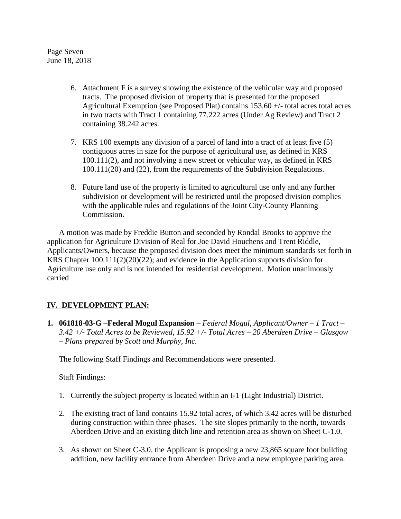Page Seven June 18, 2018

- 6. Attachment F is a survey showing the existence of the vehicular way and proposed tracts. The proposed division of property that is presented for the proposed Agricultural Exemption (see Proposed Plat) contains 153.60 +/- total acres total acres in two tracts with Tract 1 containing 77.222 acres (Under Ag Review) and Tract 2 containing 38.242 acres.
- 7. KRS 100 exempts any division of a parcel of land into a tract of at least five (5) contiguous acres in size for the purpose of agricultural use, as defined in KRS 100.111(2), and not involving a new street or vehicular way, as defined in KRS 100.111(20) and (22), from the requirements of the Subdivision Regulations.
- 8. Future land use of the property is limited to agricultural use only and any further subdivision or development will be restricted until the proposed division complies with the applicable rules and regulations of the Joint City-County Planning Commission.

A motion was made by Freddie Button and seconded by Rondal Brooks to approve the application for Agriculture Division of Real for Joe David Houchens and Trent Riddle, Applicants/Owners, because the proposed division does meet the minimum standards set forth in KRS Chapter 100.111(2)(20)(22); and evidence in the Application supports division for Agriculture use only and is not intended for residential development. Motion unanimously carried

## **IV. DEVELOPMENT PLAN:**

**1. 061818-03-G –Federal Mogul Expansion** *– Federal Mogul, Applicant/Owner – 1 Tract – 3.42 +/- Total Acres to be Reviewed, 15.92 +/- Total Acres – 20 Aberdeen Drive – Glasgow – Plans prepared by Scott and Murphy, Inc.*

The following Staff Findings and Recommendations were presented.

Staff Findings:

- 1. Currently the subject property is located within an I-1 (Light Industrial) District.
- 2. The existing tract of land contains 15.92 total acres, of which 3.42 acres will be disturbed during construction within three phases. The site slopes primarily to the north, towards Aberdeen Drive and an existing ditch line and retention area as shown on Sheet C-1.0.
- 3. As shown on Sheet C-3.0, the Applicant is proposing a new 23,865 square foot building addition, new facility entrance from Aberdeen Drive and a new employee parking area.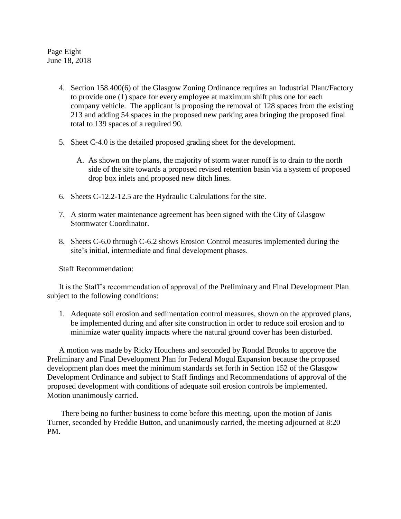Page Eight June 18, 2018

- 4. Section 158.400(6) of the Glasgow Zoning Ordinance requires an Industrial Plant/Factory to provide one (1) space for every employee at maximum shift plus one for each company vehicle. The applicant is proposing the removal of 128 spaces from the existing 213 and adding 54 spaces in the proposed new parking area bringing the proposed final total to 139 spaces of a required 90.
- 5. Sheet C-4.0 is the detailed proposed grading sheet for the development.
	- A. As shown on the plans, the majority of storm water runoff is to drain to the north side of the site towards a proposed revised retention basin via a system of proposed drop box inlets and proposed new ditch lines.
- 6. Sheets C-12.2-12.5 are the Hydraulic Calculations for the site.
- 7. A storm water maintenance agreement has been signed with the City of Glasgow Stormwater Coordinator.
- 8. Sheets C-6.0 through C-6.2 shows Erosion Control measures implemented during the site's initial, intermediate and final development phases.

Staff Recommendation:

It is the Staff's recommendation of approval of the Preliminary and Final Development Plan subject to the following conditions:

1. Adequate soil erosion and sedimentation control measures, shown on the approved plans, be implemented during and after site construction in order to reduce soil erosion and to minimize water quality impacts where the natural ground cover has been disturbed.

A motion was made by Ricky Houchens and seconded by Rondal Brooks to approve the Preliminary and Final Development Plan for Federal Mogul Expansion because the proposed development plan does meet the minimum standards set forth in Section 152 of the Glasgow Development Ordinance and subject to Staff findings and Recommendations of approval of the proposed development with conditions of adequate soil erosion controls be implemented. Motion unanimously carried.

 There being no further business to come before this meeting, upon the motion of Janis Turner, seconded by Freddie Button, and unanimously carried, the meeting adjourned at 8:20 PM.